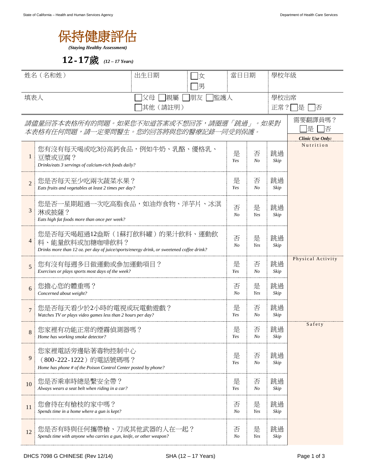

## **12**-**17**歲 *(12 – 17 Years)*

| 姓名(名和姓)                                                                         |                                                                                                                                             | 出生日期<br>女           |                     | 當日日期                |                                      | 學校年級              |  |
|---------------------------------------------------------------------------------|---------------------------------------------------------------------------------------------------------------------------------------------|---------------------|---------------------|---------------------|--------------------------------------|-------------------|--|
|                                                                                 |                                                                                                                                             | 男<br>父母<br>監護人      |                     |                     | 學校出席                                 |                   |  |
| 填表人<br> 親屬<br> 朋友<br>其他 (請註明)                                                   |                                                                                                                                             |                     |                     |                     |                                      | 正常?<br>是<br>一否    |  |
| 請儘量回答本表格所有的問題。如果您不知道答案或不想回答,請圈選「跳過」。如果對<br>本表格有任何問題,請一定要問醫生。您的回答將與您的醫療記錄一同受到保護。 |                                                                                                                                             |                     |                     |                     |                                      | 需要翻譯員嗎?<br>是<br>否 |  |
| $\mathbf{1}$                                                                    | 您有沒有每天喝或吃3份高鈣食品,例如牛奶、乳酪、優格乳、<br>豆漿或豆腐?<br>Drinks/eats 3 servings of calcium-rich foods daily?                                               | 是<br>Yes            | 否<br>N <sub>O</sub> | 跳過<br>Skip          | <b>Clinic Use Only:</b><br>Nutrition |                   |  |
| $\mathcal{D}_{1}$                                                               | 您是否每天至少吃兩次蔬菜水果?<br>Eats fruits and vegetables at least 2 times per day?                                                                     | 是<br>Yes            | 否<br>N <sub>O</sub> | 跳過<br>Skip          |                                      |                   |  |
| 3                                                                               | 您是否一星期超過一次吃高脂食品,如油炸食物、洋芋片、冰淇<br>淋或披薩?<br>Eats high fat foods more than once per week?                                                       | 否<br>N <sub>O</sub> | 是<br>Yes            | 跳過<br>Skip          |                                      |                   |  |
| 4                                                                               | 您是否每天喝超過12盎斯(1蘇打飲料罐)的果汁飲料、運動飲<br>料、能量飲料或加糖咖啡飲料?<br>Drinks more than 12 oz. per day of juice/sports/energy drink, or sweetened coffee drink? |                     | 否<br>N <sub>O</sub> | 是<br>Yes            | 跳過<br>Skip                           |                   |  |
| 5                                                                               | 您有沒有每週多日做運動或參加運動項目?<br>Exercises or plays sports most days of the week?                                                                     |                     | 是<br>Yes            | 否<br>$N_{O}$        | 跳過<br>Skip                           | Physical Activity |  |
| 6                                                                               | 您擔心您的體重嗎?<br>Concerned about weight?                                                                                                        |                     | 否<br>No             | 是<br>Yes            | 跳過<br>Skip                           |                   |  |
| $\overline{7}$                                                                  | 您是否每天看少於2小時的電視或玩電動遊戲?<br>Watches TV or plays video games less than 2 hours per day?                                                         |                     | 是<br>Yes            | 否<br>$N_{O}$        | 跳過<br>Skip                           |                   |  |
| 8                                                                               | 您家裡有功能正常的煙霧偵測器嗎?<br>Home has working smoke detector?                                                                                        |                     | 是<br>Yes            | 否<br>N <sub>O</sub> | 跳過<br>Skip                           | Safety            |  |
| 9                                                                               | 您家裡電話旁邊貼著毒物控制中心<br>(800-222-1222)的電話號碼嗎?<br>Home has phone # of the Poison Control Center posted by phone?                                  |                     |                     |                     | 否<br>$N_{O}$                         | 跳過<br>Skip        |  |
| 10                                                                              | 您是否乘車時總是繫安全帶?<br>Always wears a seat belt when riding in a car?                                                                             |                     | 是<br>Yes            | 否<br>$N_{O}$        | 跳過<br>Skip                           |                   |  |
| 11                                                                              | 您會待在有槍枝的家中嗎?<br>Spends time in a home where a gun is kept?                                                                                  |                     |                     | 否<br>$N_{O}$        | 是<br>Yes                             | 跳過<br>Skip        |  |
| 12                                                                              | 您是否有時與任何攜帶槍、刀或其他武器的人在一起?<br>Spends time with anyone who carries a gun, knife, or other weapon?                                              |                     |                     | 否<br>$N_{O}$        | 是<br>Yes                             | 跳過<br>Skip        |  |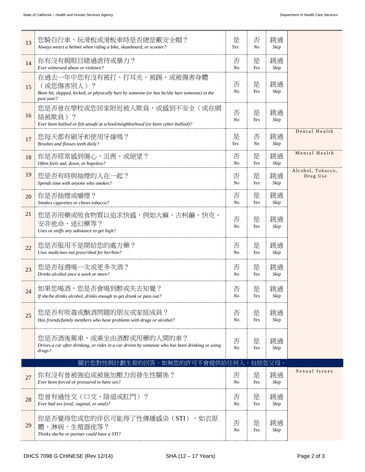| 13 | 您騎自行車、玩滑板或滑板車時是否總是戴安全帽?<br>Always wears a helmet when riding a bike, skateboard, or scooter?                                                          | 是<br>Yes            | 否<br>$N_{O}$ | 跳過<br>Skip |                               |
|----|-------------------------------------------------------------------------------------------------------------------------------------------------------|---------------------|--------------|------------|-------------------------------|
| 14 | 你有沒有親眼目睹過虐待或暴力?<br>Ever witnessed abuse or violence?                                                                                                  | 否<br>N <sub>O</sub> | 是<br>Yes     | 跳過<br>Skip |                               |
| 15 | 在過去一年中您有沒有被打、打耳光、被踢,或被傷害身體<br>(或您傷害別人)?<br>Been hit, slapped, kicked, or physically hurt by someone (or has he/she hurt someone) in the<br>past year? | 否<br>N <sub>o</sub> | 是<br>Yes     | 跳過<br>Skip |                               |
| 16 | 您是否曾在學校或您居家附近被人欺負,或感到不安全(或在網<br>絡被欺負)?<br>Ever been bullied or felt unsafe at school/neighborhood (or been cyber-bullied)?                            | 否<br>N <sub>O</sub> | 是<br>Yes     | 跳過<br>Skip |                               |
| 17 | 您每天都有刷牙和使用牙線嗎?<br>Brushes and flosses teeth daily?                                                                                                    | 是<br>Yes            | 否<br>No      | 跳過<br>Skip | Dental Health                 |
| 18 | 你是否經常感到傷心,沮喪,或絕望?<br>Often feels sad, down, or hopeless?                                                                                              | 否<br>N <sub>o</sub> | 是<br>Yes     | 跳過<br>Skip | Mental Health                 |
| 19 | 您是否有時與抽煙的人在一起?<br>Spends time with anyone who smokes?                                                                                                 | 否<br>N <sub>o</sub> | 是<br>Yes     | 跳過<br>Skip | Alcohol, Tobacco,<br>Drug Use |
| 20 | 你是否抽煙或嚼煙?<br>Smokes cigarettes or chews tobacco?                                                                                                      | 否<br>N <sub>O</sub> | 是<br>Yes     | 跳過<br>Skip |                               |
| 21 | 您是否用藥或吸食物質以追求快感,例如大麻、古柯鹼、快克、<br>安非他命、迷幻藥等?<br>Uses or sniffs any substance to get high?                                                               | 否<br>$N_{O}$        | 是<br>Yes     | 跳過<br>Skip |                               |
| 22 | 您是否服用不是開給您的處方藥?<br>Uses medicines not prescribed for her/him?                                                                                         | 否<br>N <sub>O</sub> | 是<br>Yes     | 跳過<br>Skip |                               |
| 23 | 您是否每週喝一次或更多次酒?<br>Drinks alcohol once a week or more?                                                                                                 | 否<br>N <sub>O</sub> | 是<br>Yes     | 跳過<br>Skip |                               |
| 24 | 如果您喝酒,您是否會喝到醉或失去知覺?<br>If she/he drinks alcohol, drinks enough to get drunk or pass out?                                                              | 否<br>N <sub>o</sub> | 是<br>Yes     | 跳過<br>Skip |                               |
| 25 | 您是否有吸毒或酗酒問題的朋友或家庭成員?<br>Has friends/family members who have problems with drugs or alcohol?                                                           | 否<br>N <sub>o</sub> | 是<br>Yes     | 跳過<br>Skip |                               |
|    | 您是否酒後駕車,或乘坐由酒醉或用藥的人開的車?<br>Drives a car after drinking, or rides in a car driven by someone who has been drinking or using<br>drugs?                  | 否<br>N <sub>O</sub> | 是<br>Yes     | 跳過<br>Skip |                               |
|    | 關於您對性與計劃生育的回答,如無您的許可不會提供給任何丿                                                                                                                          |                     |              | 包括您父母。     |                               |
| 27 | 你有沒有曾被強迫或被施加壓力而發生性關係?<br>Ever been forced or pressured to have sex?                                                                                   | 否<br>N <sub>o</sub> | 是<br>Yes     | 跳過<br>Skip | Sexual Issues                 |
| 28 | 您曾有過性交(口交、陰道或肛門)?<br>Ever had sex (oral, vaginal, or anal)?                                                                                           | 否<br>N <sub>O</sub> | 是<br>Yes     | 跳過<br>Skip |                               |
| 29 | 你是否覺得您或您的伴侶可能得了性傳播感染(STI),如衣原<br>體,淋病,生殖器疣等?<br>Thinks she/he or partner could have a STI?                                                            | 否<br>$N_{O}$        | 是<br>Yes     | 跳過<br>Skip |                               |